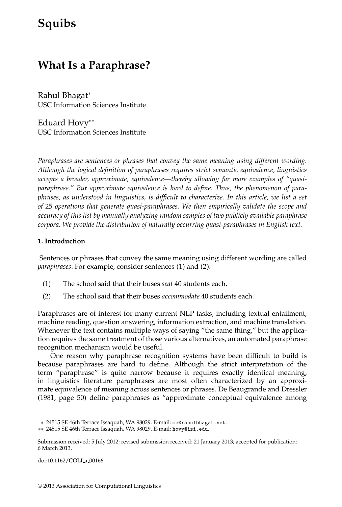# **Squibs**

## **What Is a Paraphrase?**

Rahul Bhagat<sup>∗</sup> USC Information Sciences Institute

Eduard Hovy∗∗ USC Information Sciences Institute

*Paraphrases are sentences or phrases that convey the same meaning using different wording. Although the logical definition of paraphrases requires strict semantic equivalence, linguistics accepts a broader, approximate, equivalence—thereby allowing far more examples of "quasiparaphrase." But approximate equivalence is hard to define. Thus, the phenomenon of paraphrases, as understood in linguistics, is difficult to characterize. In this article, we list a set of* 25 *operations that generate quasi-paraphrases. We then empirically validate the scope and accuracy of this list by manually analyzing random samples of two publicly available paraphrase corpora. We provide the distribution of naturally occurring quasi-paraphrases in English text.*

#### **1. Introduction**

Sentences or phrases that convey the same meaning using different wording are called *paraphrases*. For example, consider sentences (1) and (2):

- (1) The school said that their buses *seat* 40 students each.
- (2) The school said that their buses *accommodate* 40 students each.

Paraphrases are of interest for many current NLP tasks, including textual entailment, machine reading, question answering, information extraction, and machine translation. Whenever the text contains multiple ways of saying "the same thing," but the application requires the same treatment of those various alternatives, an automated paraphrase recognition mechanism would be useful.

One reason why paraphrase recognition systems have been difficult to build is because paraphrases are hard to define. Although the strict interpretation of the term "paraphrase" is quite narrow because it requires exactly identical meaning, in linguistics literature paraphrases are most often characterized by an approximate equivalence of meaning across sentences or phrases. De Beaugrande and Dressler (1981, page 50) define paraphrases as "approximate conceptual equivalence among

doi:10.1162/COLI\_a\_00166

<sup>∗</sup> 24515 SE 46th Terrace Issaquah, WA 98029. E-mail: me@rahulbhagat.net.

<sup>∗∗</sup> 24515 SE 46th Terrace Issaquah, WA 98029. E-mail: hovy@isi.edu.

Submission received: 5 July 2012; revised submission received: 21 January 2013; accepted for publication: 6 March 2013.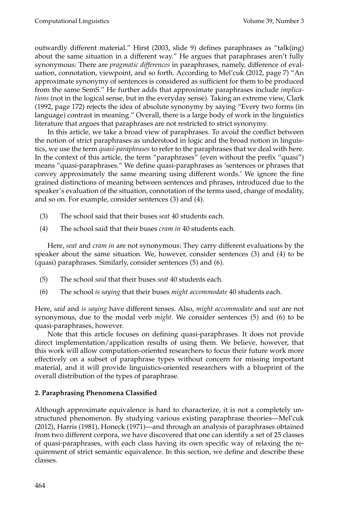outwardly different material." Hirst (2003, slide 9) defines paraphrases as "talk(ing) about the same situation in a different way." He argues that paraphrases aren't fully synonymous: There are *pragmatic differences* in paraphrases, namely, difference of evaluation, connotation, viewpoint, and so forth. According to Mel'cuk (2012, page 7) "An approximate synonymy of sentences is considered as sufficient for them to be produced from the same SemS." He further adds that approximate paraphrases include *implications* (not in the logical sense, but in the everyday sense). Taking an extreme view, Clark (1992, page 172) rejects the idea of absolute synonymy by saying "Every two forms (in language) contrast in meaning." Overall, there is a large body of work in the linguistics literature that argues that paraphrases are not restricted to strict synonymy.

In this article, we take a broad view of paraphrases. To avoid the conflict between the notion of strict paraphrases as understood in logic and the broad notion in linguistics, we use the term *quasi-paraphrases* to refer to the paraphrases that we deal with here. In the context of this article, the term "paraphrases" (even without the prefix "quasi") means "quasi-paraphrases." We define quasi-paraphrases as 'sentences or phrases that convey approximately the same meaning using different words.' We ignore the fine grained distinctions of meaning between sentences and phrases, introduced due to the speaker's evaluation of the situation, connotation of the terms used, change of modality, and so on. For example, consider sentences (3) and (4).

- (3) The school said that their buses *seat* 40 students each.
- (4) The school said that their buses *cram in* 40 students each.

Here, *seat* and *cram in* are not synonymous: They carry different evaluations by the speaker about the same situation. We, however, consider sentences (3) and (4) to be (quasi) paraphrases. Similarly, consider sentences (5) and (6).

- (5) The school *said* that their buses *seat* 40 students each.
- (6) The school *is saying* that their buses *might accommodate* 40 students each.

Here, *said* and *is saying* have different tenses. Also, *might accommodate* and *seat* are not synonymous, due to the modal verb *might*. We consider sentences (5) and (6) to be quasi-paraphrases, however.

Note that this article focuses on defining quasi-paraphrases. It does not provide direct implementation/application results of using them. We believe, however, that this work will allow computation-oriented researchers to focus their future work more effectively on a subset of paraphrase types without concern for missing important material, and it will provide linguistics-oriented researchers with a blueprint of the overall distribution of the types of paraphrase.

## **2. Paraphrasing Phenomena Classified**

Although approximate equivalence is hard to characterize, it is not a completely unstructured phenomenon. By studying various existing paraphrase theories—Mel'cuk (2012), Harris (1981), Honeck (1971)—and through an analysis of paraphrases obtained from two different corpora, we have discovered that one can identify a set of 25 classes of quasi-paraphrases, with each class having its own specific way of relaxing the requirement of strict semantic equivalence. In this section, we define and describe these classes.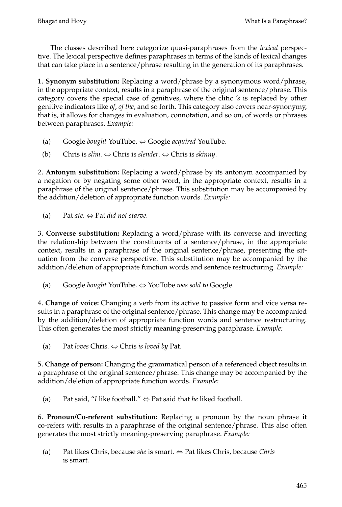The classes described here categorize quasi-paraphrases from the *lexical* perspective. The lexical perspective defines paraphrases in terms of the kinds of lexical changes that can take place in a sentence/phrase resulting in the generation of its paraphrases.

1. **Synonym substitution:** Replacing a word/phrase by a synonymous word/phrase, in the appropriate context, results in a paraphrase of the original sentence/phrase. This category covers the special case of genitives, where the clitic *'s* is replaced by other genitive indicators like *of*, *of the*, and so forth. This category also covers near-synonymy, that is, it allows for changes in evaluation, connotation, and so on, of words or phrases between paraphrases. *Example:*

- (a) Google *bought* YouTube. ⇔ Google *acquired* YouTube.
- (b) Chris is *slim*. ⇔ Chris is *slender*. ⇔ Chris is *skinny*.

2. **Antonym substitution:** Replacing a word/phrase by its antonym accompanied by a negation or by negating some other word, in the appropriate context, results in a paraphrase of the original sentence/phrase. This substitution may be accompanied by the addition/deletion of appropriate function words. *Example:*

(a) Pat *ate*. ⇔ Pat *did not starve*.

3. **Converse substitution:** Replacing a word/phrase with its converse and inverting the relationship between the constituents of a sentence/phrase, in the appropriate context, results in a paraphrase of the original sentence/phrase, presenting the situation from the converse perspective. This substitution may be accompanied by the addition/deletion of appropriate function words and sentence restructuring. *Example:*

(a) Google *bought* YouTube. ⇔ YouTube *was sold to* Google.

4. **Change of voice:** Changing a verb from its active to passive form and vice versa results in a paraphrase of the original sentence/phrase. This change may be accompanied by the addition/deletion of appropriate function words and sentence restructuring. This often generates the most strictly meaning-preserving paraphrase. *Example:*

(a) Pat *loves* Chris. ⇔ Chris *is loved by* Pat.

5. **Change of person:** Changing the grammatical person of a referenced object results in a paraphrase of the original sentence/phrase. This change may be accompanied by the addition/deletion of appropriate function words. *Example:*

(a) Pat said, "*I* like football."  $\Leftrightarrow$  Pat said that *he* liked football.

6. **Pronoun/Co-referent substitution:** Replacing a pronoun by the noun phrase it co-refers with results in a paraphrase of the original sentence/phrase. This also often generates the most strictly meaning-preserving paraphrase. *Example:*

(a) Pat likes Chris, because *she* is smart. ⇔ Pat likes Chris, because *Chris* is smart.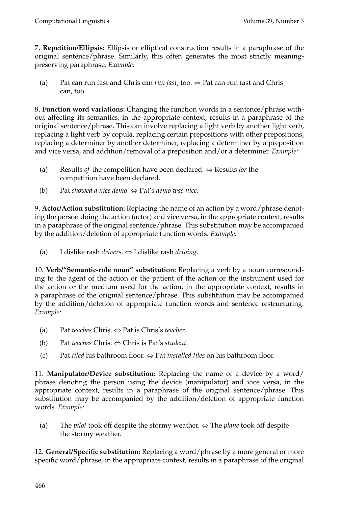7. **Repetition/Ellipsis:** Ellipsis or elliptical construction results in a paraphrase of the original sentence/phrase. Similarly, this often generates the most strictly meaningpreserving paraphrase. *Example:*

(a) Pat can run fast and Chris can *run fast*, too. ⇔ Pat can run fast and Chris can, too.

8. **Function word variations:** Changing the function words in a sentence/phrase without affecting its semantics, in the appropriate context, results in a paraphrase of the original sentence/phrase. This can involve replacing a light verb by another light verb, replacing a light verb by copula, replacing certain prepositions with other prepositions, replacing a determiner by another determiner, replacing a determiner by a preposition and vice versa, and addition/removal of a preposition and/or a determiner. *Example:*

- (a) Results *of* the competition have been declared. ⇔ Results *for* the competition have been declared.
- (b) Pat *showed a nice demo*. ⇔ Pat's *demo was nice*.

9. **Actor/Action substitution:** Replacing the name of an action by a word/phrase denoting the person doing the action (actor) and vice versa, in the appropriate context, results in a paraphrase of the original sentence/phrase. This substitution may be accompanied by the addition/deletion of appropriate function words. *Example:*

(a) I dislike rash *drivers*. ⇔ I dislike rash *driving*.

10. **Verb/"Semantic-role noun" substitution:** Replacing a verb by a noun corresponding to the agent of the action or the patient of the action or the instrument used for the action or the medium used for the action, in the appropriate context, results in a paraphrase of the original sentence/phrase. This substitution may be accompanied by the addition/deletion of appropriate function words and sentence restructuring. *Example:*

- (a) Pat *teaches* Chris. ⇔ Pat is Chris's *teacher*.
- (b) Pat *teaches* Chris. ⇔ Chris is Pat's *student*.
- (c) Pat *tiled* his bathroom floor. ⇔ Pat *installed tiles* on his bathroom floor.

11. **Manipulator/Device substitution:** Replacing the name of a device by a word/ phrase denoting the person using the device (manipulator) and vice versa, in the appropriate context, results in a paraphrase of the original sentence/phrase. This substitution may be accompanied by the addition/deletion of appropriate function words. *Example:*

(a) The *pilot* took off despite the stormy weather. ⇔ The *plane* took off despite the stormy weather.

12. **General/Specific substitution:** Replacing a word/phrase by a more general or more specific word/phrase, in the appropriate context, results in a paraphrase of the original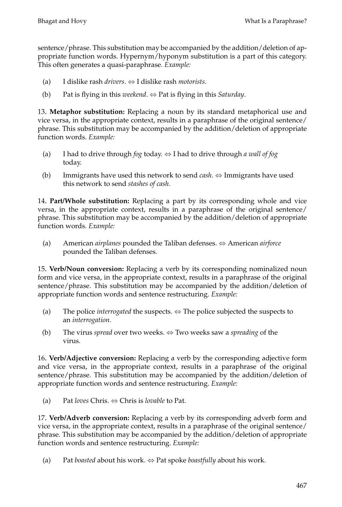sentence/phrase. This substitution may be accompanied by the addition/deletion of appropriate function words. Hypernym/hyponym substitution is a part of this category. This often generates a quasi-paraphrase. *Example:*

- (a) I dislike rash *drivers*. ⇔ I dislike rash *motorists*.
- (b) Pat is flying in this *weekend*. ⇔ Pat is flying in this *Saturday*.

13. **Metaphor substitution:** Replacing a noun by its standard metaphorical use and vice versa, in the appropriate context, results in a paraphrase of the original sentence/ phrase. This substitution may be accompanied by the addition/deletion of appropriate function words. *Example:*

- (a) I had to drive through *fog* today. ⇔ I had to drive through *a wall of fog* today.
- (b) Immigrants have used this network to send *cash*. ⇔ Immigrants have used this network to send *stashes of cash*.

14. **Part/Whole substitution:** Replacing a part by its corresponding whole and vice versa, in the appropriate context, results in a paraphrase of the original sentence/ phrase. This substitution may be accompanied by the addition/deletion of appropriate function words. *Example:*

(a) American *airplanes* pounded the Taliban defenses. ⇔ American *airforce* pounded the Taliban defenses.

15. **Verb/Noun conversion:** Replacing a verb by its corresponding nominalized noun form and vice versa, in the appropriate context, results in a paraphrase of the original sentence/phrase. This substitution may be accompanied by the addition/deletion of appropriate function words and sentence restructuring. *Example:*

- (a) The police *interrogated* the suspects. ⇔ The police subjected the suspects to an *interrogation*.
- (b) The virus *spread* over two weeks. ⇔ Two weeks saw a *spreading* of the virus.

16. **Verb/Adjective conversion:** Replacing a verb by the corresponding adjective form and vice versa, in the appropriate context, results in a paraphrase of the original sentence/phrase. This substitution may be accompanied by the addition/deletion of appropriate function words and sentence restructuring. *Example:*

(a) Pat *loves* Chris. ⇔ Chris is *lovable* to Pat.

17. **Verb/Adverb conversion:** Replacing a verb by its corresponding adverb form and vice versa, in the appropriate context, results in a paraphrase of the original sentence/ phrase. This substitution may be accompanied by the addition/deletion of appropriate function words and sentence restructuring. *Example:*

(a) Pat *boasted* about his work. ⇔ Pat spoke *boastfully* about his work.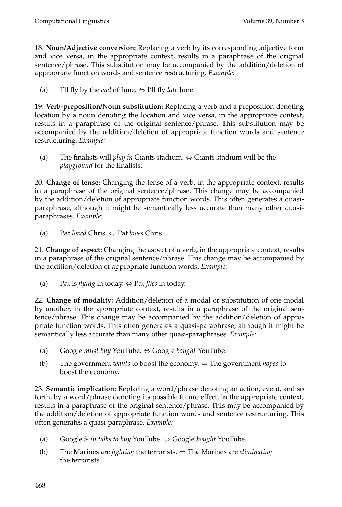18. **Noun/Adjective conversion:** Replacing a verb by its corresponding adjective form and vice versa, in the appropriate context, results in a paraphrase of the original sentence/phrase. This substitution may be accompanied by the addition/deletion of appropriate function words and sentence restructuring. *Example:*

(a) I'll fly by the *end* of June.  $\Leftrightarrow$  I'll fly *late* June.

19. **Verb-preposition/Noun substitution:** Replacing a verb and a preposition denoting location by a noun denoting the location and vice versa, in the appropriate context, results in a paraphrase of the original sentence/phrase. This substitution may be accompanied by the addition/deletion of appropriate function words and sentence restructuring. *Example:*

(a) The finalists will *play in* Giants stadium. ⇔ Giants stadium will be the *playground* for the finalists.

20. **Change of tense:** Changing the tense of a verb, in the appropriate context, results in a paraphrase of the original sentence/phrase. This change may be accompanied by the addition/deletion of appropriate function words. This often generates a quasiparaphrase, although it might be semantically less accurate than many other quasiparaphrases. *Example:*

(a) Pat *loved* Chris. ⇔ Pat *loves* Chris.

21. **Change of aspect:** Changing the aspect of a verb, in the appropriate context, results in a paraphrase of the original sentence/phrase. This change may be accompanied by the addition/deletion of appropriate function words. *Example:*

(a) Pat is *flying* in today. ⇔ Pat *flies* in today.

22. **Change of modality:** Addition/deletion of a modal or substitution of one modal by another, in the appropriate context, results in a paraphrase of the original sentence/phrase. This change may be accompanied by the addition/deletion of appropriate function words. This often generates a quasi-paraphrase, although it might be semantically less accurate than many other quasi-paraphrases. *Example:*

- (a) Google *must buy* YouTube. ⇔ Google *bought* YouTube.
- (b) The government *wants* to boost the economy. ⇔ The government *hopes* to boost the economy.

23. **Semantic implication:** Replacing a word/phrase denoting an action, event, and so forth, by a word/phrase denoting its possible future effect, in the appropriate context, results in a paraphrase of the original sentence/phrase. This may be accompanied by the addition/deletion of appropriate function words and sentence restructuring. This often generates a quasi-paraphrase. *Example:*

- (a) Google *is in talks to buy* YouTube. ⇔ Google *bought* YouTube.
- (b) The Marines are *fighting* the terrorists. ⇔ The Marines are *eliminating* the terrorists.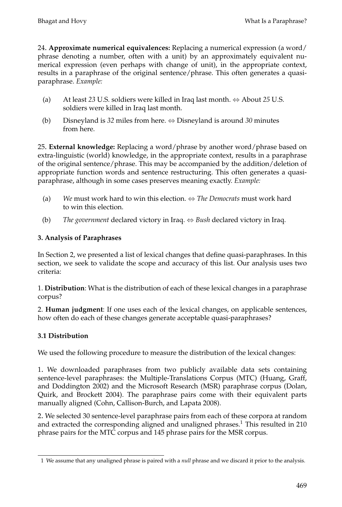24. **Approximate numerical equivalences:** Replacing a numerical expression (a word/ phrase denoting a number, often with a unit) by an approximately equivalent numerical expression (even perhaps with change of unit), in the appropriate context, results in a paraphrase of the original sentence/phrase. This often generates a quasiparaphrase. *Example:*

- (a) At least *23* U.S. soldiers were killed in Iraq last month. ⇔ About *25* U.S. soldiers were killed in Iraq last month.
- (b) Disneyland is *32* miles from here. ⇔ Disneyland is around *30* minutes from here.

25. **External knowledge:** Replacing a word/phrase by another word/phrase based on extra-linguistic (world) knowledge, in the appropriate context, results in a paraphrase of the original sentence/phrase. This may be accompanied by the addition/deletion of appropriate function words and sentence restructuring. This often generates a quasiparaphrase, although in some cases preserves meaning exactly. *Example:*

- (a) *We* must work hard to win this election. ⇔ *The Democrats* must work hard to win this election.
- (b) *The government* declared victory in Iraq. ⇔ *Bush* declared victory in Iraq.

#### **3. Analysis of Paraphrases**

In Section 2, we presented a list of lexical changes that define quasi-paraphrases. In this section, we seek to validate the scope and accuracy of this list. Our analysis uses two criteria:

1. **Distribution**: What is the distribution of each of these lexical changes in a paraphrase corpus?

2. **Human judgment**: If one uses each of the lexical changes, on applicable sentences, how often do each of these changes generate acceptable quasi-paraphrases?

## **3.1 Distribution**

We used the following procedure to measure the distribution of the lexical changes:

1. We downloaded paraphrases from two publicly available data sets containing sentence-level paraphrases: the Multiple-Translations Corpus (MTC) (Huang, Graff, and Doddington 2002) and the Microsoft Research (MSR) paraphrase corpus (Dolan, Quirk, and Brockett 2004). The paraphrase pairs come with their equivalent parts manually aligned (Cohn, Callison-Burch, and Lapata 2008).

2. We selected 30 sentence-level paraphrase pairs from each of these corpora at random and extracted the corresponding aligned and unaligned phrases.<sup>1</sup> This resulted in 210 phrase pairs for the MTC corpus and 145 phrase pairs for the MSR corpus.

<sup>1</sup> We assume that any unaligned phrase is paired with a *null* phrase and we discard it prior to the analysis.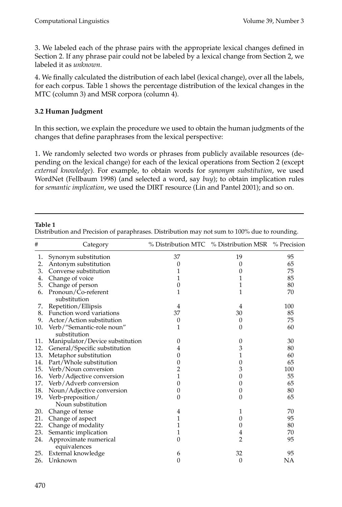3. We labeled each of the phrase pairs with the appropriate lexical changes defined in Section 2. If any phrase pair could not be labeled by a lexical change from Section 2, we labeled it as *unknown*.

4. We finally calculated the distribution of each label (lexical change), over all the labels, for each corpus. Table 1 shows the percentage distribution of the lexical changes in the MTC (column 3) and MSR corpora (column 4).

#### **3.2 Human Judgment**

In this section, we explain the procedure we used to obtain the human judgments of the changes that define paraphrases from the lexical perspective:

1. We randomly selected two words or phrases from publicly available resources (depending on the lexical change) for each of the lexical operations from Section 2 (except *external knowledge*). For example, to obtain words for *synonym substitution*, we used WordNet (Fellbaum 1998) (and selected a word, say *buy*); to obtain implication rules for *semantic implication*, we used the DIRT resource (Lin and Pantel 2001); and so on.

#### **Table 1**

Distribution and Precision of paraphrases. Distribution may not sum to 100% due to rounding.

| #   | Category                                  |          | % Distribution MTC % Distribution MSR % Precision |     |
|-----|-------------------------------------------|----------|---------------------------------------------------|-----|
| 1.  | Synonym substitution                      | 37       | 19                                                | 95  |
| 2.  | Antonym substitution                      | 0        | $\Omega$                                          | 65  |
| 3.  | Converse substitution                     | 1        | $\theta$                                          | 75  |
| 4.  | Change of voice                           | 1        | 1                                                 | 85  |
| 5.  | Change of person                          | 0        | 1                                                 | 80  |
| 6.  | Pronoun/Co-referent<br>substitution       | 1        | 1                                                 | 70  |
| 7.  | Repetition/Ellipsis                       | 4        | 4                                                 | 100 |
| 8.  | Function word variations                  | 37       | 30                                                | 85  |
| 9.  | Actor/Action substitution                 | 0        | $\theta$                                          | 75  |
| 10. | Verb/"Semantic-role noun"<br>substitution | 1        | $\Omega$                                          | 60  |
| 11. | Manipulator/Device substitution           | 0        | $\theta$                                          | 30  |
| 12. | General/Specific substitution             | 4        | 3                                                 | 80  |
| 13. | Metaphor substitution                     | 0        | 1                                                 | 60  |
| 14. | Part/Whole substitution                   | 0        | 0                                                 | 65  |
| 15. | Verb/Noun conversion                      | 2        | 3                                                 | 100 |
| 16. | Verb/Adjective conversion                 | 1        | $\boldsymbol{0}$                                  | 55  |
| 17. | Verb/Adverb conversion                    | 0        | $\theta$                                          | 65  |
| 18. | Noun/Adjective conversion                 | 0        | $\theta$                                          | 80  |
| 19. | Verb-preposition/<br>Noun substitution    | 0        | 0                                                 | 65  |
| 20. | Change of tense                           | 4        | 1                                                 | 70  |
| 21. | Change of aspect                          | 1        | 0                                                 | 95  |
| 22. | Change of modality                        | 1        | 0                                                 | 80  |
| 23. | Semantic implication                      | 1        | 4                                                 | 70  |
| 24. | Approximate numerical<br>equivalences     | $\Omega$ | $\overline{2}$                                    | 95  |
| 25. | External knowledge                        | 6        | 32                                                | 95  |
| 26. | Unknown                                   | 0        | $\theta$                                          | NA  |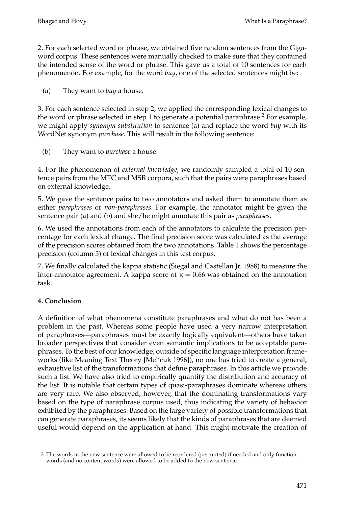2. For each selected word or phrase, we obtained five random sentences from the Gigaword corpus. These sentences were manually checked to make sure that they contained the intended sense of the word or phrase. This gave us a total of 10 sentences for each phenomenon. For example, for the word *buy*, one of the selected sentences might be:

(a) They want to *buy* a house.

3. For each sentence selected in step 2, we applied the corresponding lexical changes to the word or phrase selected in step 1 to generate a potential paraphrase.<sup>2</sup> For example, we might apply *synonym substitution* to sentence (a) and replace the word *buy* with its WordNet synonym *purchase*. This will result in the following sentence:

(b) They want to *purchase* a house.

4. For the phenomenon of *external knowledge*, we randomly sampled a total of 10 sentence pairs from the MTC and MSR corpora, such that the pairs were paraphrases based on external knowledge.

5. We gave the sentence pairs to two annotators and asked them to annotate them as either *paraphrases* or *non-paraphrases*. For example, the annotator might be given the sentence pair (a) and (b) and she/he might annotate this pair as *paraphrases*.

6. We used the annotations from each of the annotators to calculate the precision percentage for each lexical change. The final precision score was calculated as the average of the precision scores obtained from the two annotations. Table 1 shows the percentage precision (column 5) of lexical changes in this test corpus.

7. We finally calculated the kappa statistic (Siegal and Castellan Jr. 1988) to measure the inter-annotator agreement. A kappa score of  $\kappa = 0.66$  was obtained on the annotation task.

#### **4. Conclusion**

A definition of what phenomena constitute paraphrases and what do not has been a problem in the past. Whereas some people have used a very narrow interpretation of paraphrases—paraphrases must be exactly logically equivalent—others have taken broader perspectives that consider even semantic implications to be acceptable paraphrases. To the best of our knowledge, outside of specific language interpretation frameworks (like Meaning Text Theory [Mel'cuk 1996]), no one has tried to create a general, exhaustive list of the transformations that define paraphrases. In this article we provide such a list. We have also tried to empirically quantify the distribution and accuracy of the list. It is notable that certain types of quasi-paraphrases dominate whereas others are very rare. We also observed, however, that the dominating transformations vary based on the type of paraphrase corpus used, thus indicating the variety of behavior exhibited by the paraphrases. Based on the large variety of possible transformations that can generate paraphrases, its seems likely that the kinds of paraphrases that are deemed useful would depend on the application at hand. This might motivate the creation of

<sup>2</sup> The words in the new sentence were allowed to be reordered (permuted) if needed and only function words (and no content words) were allowed to be added to the new sentence.